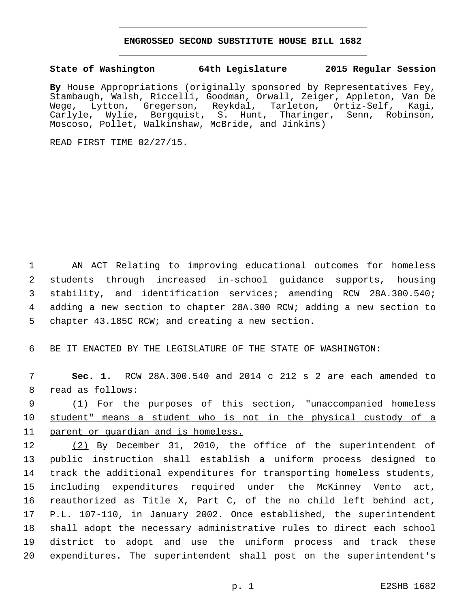## **ENGROSSED SECOND SUBSTITUTE HOUSE BILL 1682**

## **State of Washington 64th Legislature 2015 Regular Session**

**By** House Appropriations (originally sponsored by Representatives Fey, Stambaugh, Walsh, Riccelli, Goodman, Orwall, Zeiger, Appleton, Van De Wege, Lytton, Gregerson, Reykdal, Tarleton, Ortiz-Self, Kagi, Carlyle, Wylie, Bergquist, S. Hunt, Tharinger, Senn, Robinson, Moscoso, Pollet, Walkinshaw, McBride, and Jinkins)

READ FIRST TIME 02/27/15.

 AN ACT Relating to improving educational outcomes for homeless students through increased in-school guidance supports, housing stability, and identification services; amending RCW 28A.300.540; adding a new section to chapter 28A.300 RCW; adding a new section to 5 chapter 43.185C RCW; and creating a new section.

6 BE IT ENACTED BY THE LEGISLATURE OF THE STATE OF WASHINGTON:

7 **Sec. 1.** RCW 28A.300.540 and 2014 c 212 s 2 are each amended to 8 read as follows:

9 (1) For the purposes of this section, "unaccompanied homeless 10 student" means a student who is not in the physical custody of a 11 parent or guardian and is homeless.

12 (2) By December 31, 2010, the office of the superintendent of public instruction shall establish a uniform process designed to track the additional expenditures for transporting homeless students, including expenditures required under the McKinney Vento act, reauthorized as Title X, Part C, of the no child left behind act, P.L. 107-110, in January 2002. Once established, the superintendent shall adopt the necessary administrative rules to direct each school district to adopt and use the uniform process and track these expenditures. The superintendent shall post on the superintendent's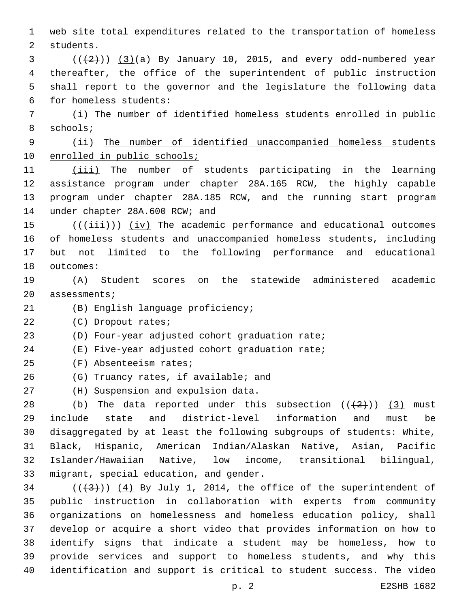1 web site total expenditures related to the transportation of homeless 2 students.

 $(1+2)(1+2)$  (13)(a) By January 10, 2015, and every odd-numbered year 4 thereafter, the office of the superintendent of public instruction 5 shall report to the governor and the legislature the following data for homeless students:6

7 (i) The number of identified homeless students enrolled in public 8 schools;

9 (ii) The number of identified unaccompanied homeless students 10 enrolled in public schools;

 (iii) The number of students participating in the learning assistance program under chapter 28A.165 RCW, the highly capable program under chapter 28A.185 RCW, and the running start program 14 under chapter 28A.600 RCW; and

 (( $(i\text{iii})$ )) (iv) The academic performance and educational outcomes of homeless students and unaccompanied homeless students, including but not limited to the following performance and educational 18 outcomes:

19 (A) Student scores on the statewide administered academic 20 assessments;

21 (B) English language proficiency;

22 (C) Dropout rates;

23 (D) Four-year adjusted cohort graduation rate;

24 (E) Five-year adjusted cohort graduation rate;

(F) Absenteeism rates;25

26 (G) Truancy rates, if available; and

27 (H) Suspension and expulsion data.

28 (b) The data reported under this subsection  $((+2)^2)$  (3) must include state and district-level information and must be disaggregated by at least the following subgroups of students: White, Black, Hispanic, American Indian/Alaskan Native, Asian, Pacific Islander/Hawaiian Native, low income, transitional bilingual, 33 migrant, special education, and gender.

 $(1+3+1)$   $(4)$  By July 1, 2014, the office of the superintendent of public instruction in collaboration with experts from community organizations on homelessness and homeless education policy, shall develop or acquire a short video that provides information on how to identify signs that indicate a student may be homeless, how to provide services and support to homeless students, and why this identification and support is critical to student success. The video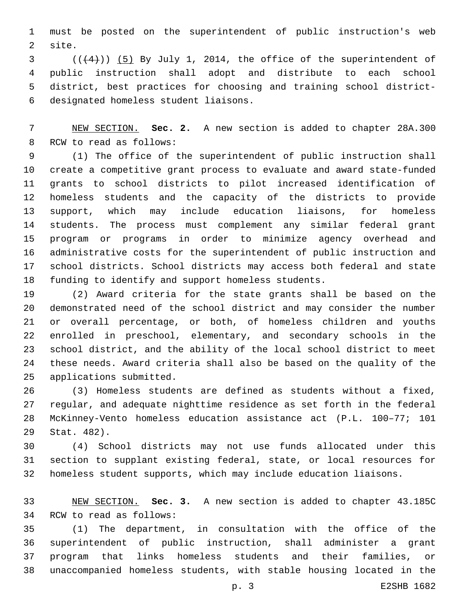must be posted on the superintendent of public instruction's web 2 site.

 $(1+4)$ ) (5) By July 1, 2014, the office of the superintendent of public instruction shall adopt and distribute to each school district, best practices for choosing and training school districtdesignated homeless student liaisons.6

 NEW SECTION. **Sec. 2.** A new section is added to chapter 28A.300 8 RCW to read as follows:

 (1) The office of the superintendent of public instruction shall create a competitive grant process to evaluate and award state-funded grants to school districts to pilot increased identification of homeless students and the capacity of the districts to provide support, which may include education liaisons, for homeless students. The process must complement any similar federal grant program or programs in order to minimize agency overhead and administrative costs for the superintendent of public instruction and school districts. School districts may access both federal and state funding to identify and support homeless students.

 (2) Award criteria for the state grants shall be based on the demonstrated need of the school district and may consider the number or overall percentage, or both, of homeless children and youths enrolled in preschool, elementary, and secondary schools in the school district, and the ability of the local school district to meet these needs. Award criteria shall also be based on the quality of the 25 applications submitted.

 (3) Homeless students are defined as students without a fixed, regular, and adequate nighttime residence as set forth in the federal McKinney-Vento homeless education assistance act (P.L. 100–77; 101 29 Stat. 482).

 (4) School districts may not use funds allocated under this section to supplant existing federal, state, or local resources for homeless student supports, which may include education liaisons.

 NEW SECTION. **Sec. 3.** A new section is added to chapter 43.185C 34 RCW to read as follows:

 (1) The department, in consultation with the office of the superintendent of public instruction, shall administer a grant program that links homeless students and their families, or unaccompanied homeless students, with stable housing located in the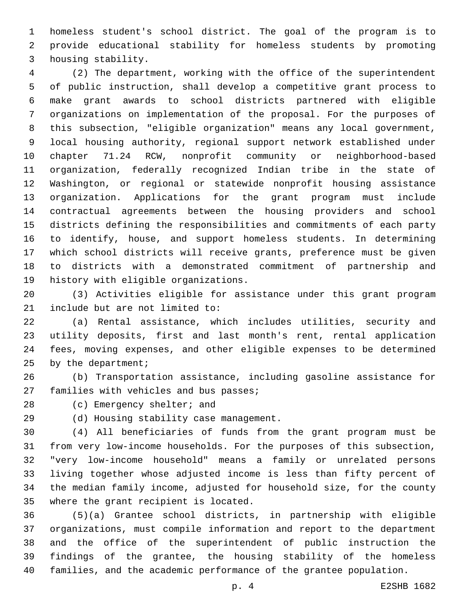homeless student's school district. The goal of the program is to provide educational stability for homeless students by promoting 3 housing stability.

 (2) The department, working with the office of the superintendent of public instruction, shall develop a competitive grant process to make grant awards to school districts partnered with eligible organizations on implementation of the proposal. For the purposes of this subsection, "eligible organization" means any local government, local housing authority, regional support network established under chapter 71.24 RCW, nonprofit community or neighborhood-based organization, federally recognized Indian tribe in the state of Washington, or regional or statewide nonprofit housing assistance organization. Applications for the grant program must include contractual agreements between the housing providers and school districts defining the responsibilities and commitments of each party to identify, house, and support homeless students. In determining which school districts will receive grants, preference must be given to districts with a demonstrated commitment of partnership and 19 history with eligible organizations.

 (3) Activities eligible for assistance under this grant program 21 include but are not limited to:

 (a) Rental assistance, which includes utilities, security and utility deposits, first and last month's rent, rental application fees, moving expenses, and other eligible expenses to be determined 25 by the department;

 (b) Transportation assistance, including gasoline assistance for 27 families with vehicles and bus passes;

28 (c) Emergency shelter; and

29 (d) Housing stability case management.

 (4) All beneficiaries of funds from the grant program must be from very low-income households. For the purposes of this subsection, "very low-income household" means a family or unrelated persons living together whose adjusted income is less than fifty percent of the median family income, adjusted for household size, for the county 35 where the grant recipient is located.

 (5)(a) Grantee school districts, in partnership with eligible organizations, must compile information and report to the department and the office of the superintendent of public instruction the findings of the grantee, the housing stability of the homeless families, and the academic performance of the grantee population.